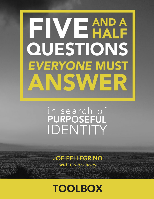# FIVEMPA QUESTIONS **EVERYONE MUST** ANSWER

# in search of IDENTITY

**JOE PELLEGRINO** with Craig Livsey

**TOOLBOX**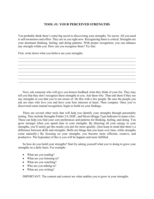# **TOOL #1: YOUR PERCEIVED STRENGTHS**

You probably think there's some big secret to discovering your strengths. No secret. All you need is self-awareness and effort. They are in you right now. Recognizing them is critical. Strengths are your dominant thinking, feeling, and doing patterns. With proper recognition, you can enhance any strength within you. How can you recognize them? Try this:

First, write down what you believe are your strengths.



Next, ask someone who will give you honest feedback what they think of your list. They may tell you that they don't recognize these strengths in you. Ask them why. Then ask them if they see any strengths in you that you're not aware of. Do this with a few people. Be sure the people you ask are ones who love you and have your best interests at heart. Then compare. Once you've discovered some mutual recognition, begin to build on your findings.

There are several other tools that will help you identify your strengths through personality testing. They include Strengths Finder 2.0, DiSC, and Myers-Briggs Type Indicator to name a few. These can help you find your core preferences and patterns for thinking, feeling, and doing. You grow stronger when you spend time in your strengths. By directing all your energy to your strengths, you'll surely get the results you aim for more quickly. (Just keep in mind that there's a difference between skills and strengths. Skills are things that you learn over time, while strengths come naturally.) By focusing on your strengths, you become more efficient, creative, and productive. The byproduct of this is you will be happier and more fulfilled.

So how do you build your strengths? Start by asking yourself what you're doing to grow your strengths on a daily basis. For example:

- What are you reading?
- What are you listening to?
- What are you watching?
- Who are you talking to?
- What are you writing?

IMPORTANT: The content and context are what enables you to grow in your strengths.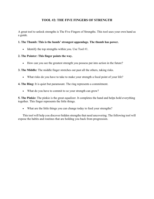# **TOOL #2: THE FIVE FINGERS OF STRENGTH**

A great tool to unlock strengths is The Five Fingers of Strengths. This tool uses your own hand as a guide.

# **1. The Thumb: This is the hands' strongest appendage. The thumb has power.**

• Identify the top strengths within you. Use Tool  $#1$ .

# **2. The Pointer: This finger points the way.**

How can you see the greatest strength you possess put into action in the future?

# **3. The Middle:** The middle finger stretches out past all the others, taking risks.

What risks do you have to take to make your strength a focal point of your life?

**4. The Ring:** It is quiet but paramount. The ring represents a commitment.

What do you have to commit to so your strength can grow?

**5. The Pinkie:** The pinkie is the great equalizer. It completes the hand and helps hold everything together. This finger represents the little things.

What are the little things you can change today to feed your strengths?

This tool will help you discover hidden strengths that need uncovering. The following tool will expose the habits and routines that are holding you back from progression.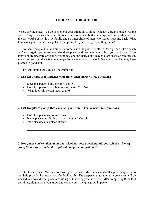# **TOOL #3: THE RIGHT SOIL**

Where are the places you go to promote your strengths to shine? Michael Jordan's place was the court. Terry Fox's was the road. Who are the people who both encourage you and push you to be the best you? For me, it's my family and an inner circle of men who I know have my back. What I am asking is, what is the right soil that promotes your strengths, so they shine?

For some people, it's the library. For others, it's the gym. For others, it's a person, like a coach or friend. Again, you must recognize these places and people in your life so you can thrive. If you ignore or are unaware of your surroundings and influences, it's easy to plant seeds of greatness in the wrong soil and therefore never experience the growth that would have occurred had they been planted in good soil.

 $\_$  ,  $\_$  ,  $\_$  ,  $\_$  ,  $\_$  ,  $\_$  ,  $\_$  ,  $\_$  ,  $\_$  ,  $\_$  ,  $\_$  ,  $\_$  ,  $\_$  ,  $\_$  ,  $\_$  ,  $\_$  ,  $\_$  ,  $\_$  ,  $\_$  ,  $\_$  ,  $\_$  ,  $\_$  ,  $\_$  ,  $\_$  ,  $\_$  ,  $\_$  ,  $\_$  ,  $\_$  ,  $\_$  ,  $\_$  ,  $\_$  ,  $\_$  ,  $\_$  ,  $\_$  ,  $\_$  ,  $\_$  ,  $\_$  ,  $\mathcal{L}_\mathcal{L} = \mathcal{L}_\mathcal{L} = \mathcal{L}_\mathcal{L} = \mathcal{L}_\mathcal{L} = \mathcal{L}_\mathcal{L} = \mathcal{L}_\mathcal{L} = \mathcal{L}_\mathcal{L} = \mathcal{L}_\mathcal{L} = \mathcal{L}_\mathcal{L} = \mathcal{L}_\mathcal{L} = \mathcal{L}_\mathcal{L} = \mathcal{L}_\mathcal{L} = \mathcal{L}_\mathcal{L} = \mathcal{L}_\mathcal{L} = \mathcal{L}_\mathcal{L} = \mathcal{L}_\mathcal{L} = \mathcal{L}_\mathcal{L}$ 

 $\mathcal{L}_\text{max} = \mathcal{L}_\text{max} = \mathcal{L}_\text{max} = \mathcal{L}_\text{max} = \mathcal{L}_\text{max} = \mathcal{L}_\text{max} = \mathcal{L}_\text{max} = \mathcal{L}_\text{max} = \mathcal{L}_\text{max} = \mathcal{L}_\text{max} = \mathcal{L}_\text{max} = \mathcal{L}_\text{max} = \mathcal{L}_\text{max} = \mathcal{L}_\text{max} = \mathcal{L}_\text{max} = \mathcal{L}_\text{max} = \mathcal{L}_\text{max} = \mathcal{L}_\text{max} = \mathcal{$ 

Try this simple tool, called The Right Soil:

#### **1. List ten people that influence your time. Then answer these questions:**

- Does this person build me up? Yes No
- Does this person care about my success? Yes No
- What does this person mean to me?

#### **2. List five places you go that** *consume* **your time. Then answer these questions:**

- Does this place inspire me? Yes No
- Is this place contributing to my strengths? Yes No
- Who else does this place attract?

**3. Now, once you've taken an in-depth look at those questions, ask yourself this:** *For my strengths to shine, what is the right soil that promotes just that?* 

This tool is universal. You can do it with your spouse, kids, friends, and colleagues—anyone who can help provide the answers you're looking for. The deeper you go, the more your eyes will be opened to who and what places are aiding or hindering your strengths. After completing these tool activities, plug in what you know and watch your strengths grow in power.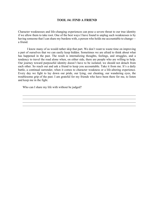### **TOOL #4: FIND A FRIEND**

Character weaknesses and life-changing experiences can pose a severe threat to our true identity if we allow them to take root. One of the best ways I have found to unplug such weaknesses is by having someone that I can share my burdens with, a person who holds me accountable to change a friend.

 I know many of us would rather skip that part. We don't want to waste time on improving a part of ourselves that we can easily keep hidden. Sometimes we are afraid to think about what has happened in the past. The result is internalizing thoughts, feelings, and struggles, and a tendency to travel the road alone when, on either side, there are people who are willing to help. Our journey toward purposeful identity doesn't have to be isolated; we should not detach from each other. So reach out and ask a friend to keep you accountable. Take it from me. It's a daily battle, a continual surrender, when it comes to character weakness or a life-altering experience. Every day we fight to lay down our pride, our lying, our cheating, our wandering eyes, the troublesome grip of the past. I am grateful for my friends who have been there for me, to listen and keep me in the fight.

 $\mathcal{L}_\mathcal{L} = \mathcal{L}_\mathcal{L} = \mathcal{L}_\mathcal{L} = \mathcal{L}_\mathcal{L} = \mathcal{L}_\mathcal{L} = \mathcal{L}_\mathcal{L} = \mathcal{L}_\mathcal{L} = \mathcal{L}_\mathcal{L} = \mathcal{L}_\mathcal{L} = \mathcal{L}_\mathcal{L} = \mathcal{L}_\mathcal{L} = \mathcal{L}_\mathcal{L} = \mathcal{L}_\mathcal{L} = \mathcal{L}_\mathcal{L} = \mathcal{L}_\mathcal{L} = \mathcal{L}_\mathcal{L} = \mathcal{L}_\mathcal{L}$ 

Who can I share my life with without be judged?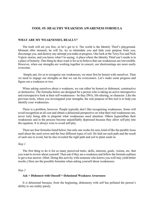#### **TOOL #5: HEALTHY WEAKNESS AWARENESS FORMULA**

#### **WHAT ARE MY WEAKNESSES, REALLY?**

The truth will set you free, so let's get to it. The world is the Identity Thief's playground. Moment after moment, he will lie, try to intimidate you and hide your purpose from you, discourage you, and destroy any attempt you make at progress. One look at the Terry Fox and Nick Vujicic stories, and you know what I'm saying. A place where the Identity Thief can't reside is in a place of honesty. One thing he does want is for us to believe that our weaknesses are irreversible. However, when our strengths are working together in concert, our shortcomings are more easily overcome.

 Simply put, for us to recognize our weaknesses, we must first be honest with ourselves. Then we need to engage our strengths so that we can be overcomers. Let's make some progress and figure out a weakness or two.

When asking ourselves about a weakness, we can either be honest or dishonest, constructive or destructive. The formulas below are designed for a person who is taking an active introspective and extrospective look at their self-weaknesses - be they DNA, life-altering, or character. Like the previous tools, where you investigated your strengths, the sole purpose of this tool is to help you identify your weaknesses.

There is a problem, however. People typically don't like recognizing weaknesses. Some will avoid recognition at all cost and obtain a delusional perspective on what their real weaknesses are, never truly being able to pinpoint what weaknesses need attention. Others hyperinflate their weaknesses and in the process become unjustifiably depressed because they allow self-pity into the equation. It is always wise to avoid self-pity.

There are four formulas listed below, but only one works for sure, kind of like the parable Jesus used about the seed sower and the four different types of soil. He laid out each path and the result of each one to avoid, but he also revealed the right path and soil to plant seeds in.

#### *Step 1*

The first thing to do is list as many perceived traits, skills, interests, goals, visions, etc. that you want to review about yourself. Then ask if they are a weakness and follow the formula outlines to get a true answer. (Hint: Doing this activity with someone who knows you well may yield better results.) Here are the possible formulas when asking yourself about weaknesses.

#### *Step 2*

#### **Ask + Dishonest with Oneself = Delusional Weakness Awareness**

It is delusional because, from the beginning, dishonesty with self has polluted the person's ability to see reality purely.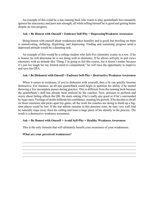An example of this could be a star running back who wants to play quarterback but constantly ignores his inaccuracy and poor arm strength, all while telling himself he is good and getting better despite no true progress.

#### **Ask + Be Honest with Oneself + Embrace Self-Pity = DepressingWeakness Awareness**

Being honest with oneself about weaknesses takes humility and is good, but dwelling on them is unmotivating, deflating, dispiriting, and depressing. Finding and sustaining progress amid a depressed attitude would be a daunting task.

An example of this would be a college student who fails five chemistry exams in a row. If he is honest, he will determine he is not doing well in chemistry. If he allows self-pity in and views chemistry with an attitude like "Dang, I'm going to fail this course, but it doesn't matter because it's just too tough for my limited mind to comprehend," he will miss the opportunity to improve and save his GPA.

#### **Ask + Be Dishonest with Oneself + Embrace Self-Pity = Destructive Weakness Awareness**

When it comes to weakness, if you're dishonest with yourself, then a lie can quickly become destructive. For instance, an all-star quarterback could begin to question his ability if he started throwing a few incomplete passes during practice. This is different from the running back because the quarterback's skill has already been realized by the coaches. Now, pressure to perform and worry about failing affects the QB. He starts asking if he's really any good or if he's surrounded by hype-men. Feelings of doubt infiltrate his confidence, stunting his growth. If he decides to dwell on those emotions and picks apart his game, all the work his coaches are doing to build up a bigtime player could be lost. If the star athlete remains in this pressure zone, he may very well find he naturally steps away from his calling and loses a huge piece of his identity in the process. The result is a destructive weakness awareness.

#### **Ask + Be Honest with Oneself + Avoid Self-Pity = Healthy Weakness Awareness**

This is the only formula that will ultimately benefit your awareness of your weaknesses.

 $\mathcal{L}_\mathcal{L} = \mathcal{L}_\mathcal{L} = \mathcal{L}_\mathcal{L} = \mathcal{L}_\mathcal{L} = \mathcal{L}_\mathcal{L} = \mathcal{L}_\mathcal{L} = \mathcal{L}_\mathcal{L} = \mathcal{L}_\mathcal{L} = \mathcal{L}_\mathcal{L} = \mathcal{L}_\mathcal{L} = \mathcal{L}_\mathcal{L} = \mathcal{L}_\mathcal{L} = \mathcal{L}_\mathcal{L} = \mathcal{L}_\mathcal{L} = \mathcal{L}_\mathcal{L} = \mathcal{L}_\mathcal{L} = \mathcal{L}_\mathcal{L}$ 

# **What are your perceived weaknesses?**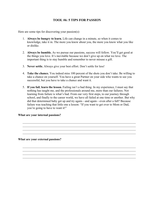# **TOOL #6: 5 TIPS FOR PASSION**

Here are some tips for discovering your passion(s):

- 1. **Always be hungry to learn.** Life can change in a minute, so when it comes to knowledge, take it in. The more you know about you, the more you know what you like or dislike.
- 2. **Always be humble.** As we pursue our passions, success will follow. You'll get good at the things you love. It's inevitable because we don't give up on what we love. The important thing is to stay humble and remember to never misuse a gift.
- 3. **Never settle.** Always give your best effort. Don't settle for less!
- 4. **Take the chance.** You indeed miss 100 percent of the shots you don't take. Be willing to take a chance on yourself. You have a great Partner on your side who wants to see you successful, but you have to take a chance and want it.
- 5. **If you fail**, **learn the lesson.** Failing isn't a bad thing. In my experience, I must say that nothing has taught me, and the professionals around me, more than our failures. Not learning from failure is what's bad. From our very first steps, to our journey through school, and finally to the career world, we have all failed at one time or another. But why did that determined baby get up and try again—and again—even after a fall? Because failure was teaching that little one a lesson: "If you want to get over to Mom or Dad, you're going to have to want it!"

 $\mathcal{L}_\mathcal{L} = \mathcal{L}_\mathcal{L} = \mathcal{L}_\mathcal{L} = \mathcal{L}_\mathcal{L} = \mathcal{L}_\mathcal{L} = \mathcal{L}_\mathcal{L} = \mathcal{L}_\mathcal{L} = \mathcal{L}_\mathcal{L} = \mathcal{L}_\mathcal{L} = \mathcal{L}_\mathcal{L} = \mathcal{L}_\mathcal{L} = \mathcal{L}_\mathcal{L} = \mathcal{L}_\mathcal{L} = \mathcal{L}_\mathcal{L} = \mathcal{L}_\mathcal{L} = \mathcal{L}_\mathcal{L} = \mathcal{L}_\mathcal{L}$ 

 $\mathcal{L}_\mathcal{L} = \mathcal{L}_\mathcal{L} = \mathcal{L}_\mathcal{L} = \mathcal{L}_\mathcal{L} = \mathcal{L}_\mathcal{L} = \mathcal{L}_\mathcal{L} = \mathcal{L}_\mathcal{L} = \mathcal{L}_\mathcal{L} = \mathcal{L}_\mathcal{L} = \mathcal{L}_\mathcal{L} = \mathcal{L}_\mathcal{L} = \mathcal{L}_\mathcal{L} = \mathcal{L}_\mathcal{L} = \mathcal{L}_\mathcal{L} = \mathcal{L}_\mathcal{L} = \mathcal{L}_\mathcal{L} = \mathcal{L}_\mathcal{L}$ 

#### **What are your internal passions?**

**What are your external passions?**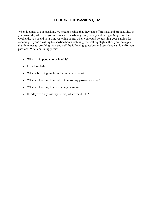# **TOOL #7: THE PASSION QUIZ**

When it comes to our passions, we need to realize that they take effort, risk, and productivity. In your own life, where do you see yourself sacrificing time, money and energy? Maybe on the weekends, you spend your time watching sports when you could be pursuing your passion for coaching. If you're willing to sacrifice hours watching football highlights, then you can apply that time to, say, coaching. Ask yourself the following questions and see if you can identify your passions: What am I hungry for?

- Why is it important to be humble?
- Have I settled?
- What is blocking me from finding my passion?
- What am I willing to sacrifice to make my passion a reality?
- What am I willing to invest in my passion?
- If today were my last day to live, what would I do?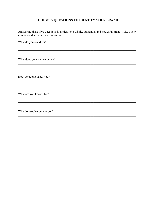# TOOL #8: 5 QUESTIONS TO IDENTIFY YOUR BRAND

Answering these five questions is critical to a whole, authentic, and powerful brand. Take a few minutes and answer these questions.

<u> 1989 - Johann Stoff, amerikansk politiker (d. 1989)</u>

<u> 1989 - Johann Stoff, amerikansk politiker (d. 1989)</u>

and the control of the control of the control of the control of the control of the control of the control of the

<u> 1989 - Johann Stoff, amerikansk politiker (d. 1989)</u>

<u> 1989 - Johann Stoff, deutscher Stoffen und der Stoffen und der Stoffen und der Stoffen und der Stoffen und der</u>

What do you stand for?

What does your name convey?

How do people label you?

What are you known for?

Why do people come to you?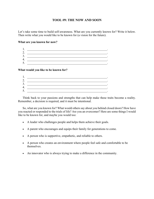# **TOOL #9: THE NOW AND SOON**

Let's take some time to build self-awareness. What are you currently known for? Write it below. Then write what you would like to be known for (a vision for the future).

#### **What are you known for now?**

| ∼<br>_. |  |
|---------|--|
| ◠<br>J. |  |
| т.      |  |
| ັ       |  |

#### **What would you like to be known for?**

| ⌒                             |  |
|-------------------------------|--|
| $\overline{\phantom{m}}\cdot$ |  |
| ി<br>. ر                      |  |
| Λ<br>┭.                       |  |
| 5                             |  |
| J.                            |  |

Think back to your passions and strengths that can help make these traits become a reality. Remember, a decision is required, and it must be intentional.

So, what are you known for? What would others say about you behind closed doors? How have you reacted or responded to the trials of life? Are you an overcomer? Here are some things I would like to be known for, and maybe you would too:

- A leader who challenges people and helps them achieve their goals.
- A parent who encourages and equips their family for generations to come.
- A person who is supportive, empathetic, and reliable to others.
- A person who creates an environment where people feel safe and comfortable to be themselves.
- An innovator who is always trying to make a difference in the community.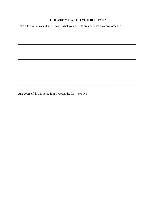# TOOL #10: WHAT DO YOU BELIEVE?

Take a few minutes and write down what your beliefs are and what they are rooted in.



Ask yourself, is this something I would die for? Yes No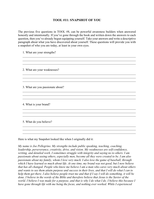# **TOOL #11: SNAPSHOT OF YOU**

The previous five questions in TOOL #8, can be powerful awareness builders when answered honestly and intentionally. If you've gone through the book and written down the answers to each question, then you've already begun equipping yourself. Take your answers and write a descriptive paragraph about what you have discovered about yourself. These questions will provide you with a snapshot of who you are today, at least in your own eyes.

 $\mathcal{L}_\mathcal{L} = \mathcal{L}_\mathcal{L} = \mathcal{L}_\mathcal{L} = \mathcal{L}_\mathcal{L} = \mathcal{L}_\mathcal{L} = \mathcal{L}_\mathcal{L} = \mathcal{L}_\mathcal{L} = \mathcal{L}_\mathcal{L} = \mathcal{L}_\mathcal{L} = \mathcal{L}_\mathcal{L} = \mathcal{L}_\mathcal{L} = \mathcal{L}_\mathcal{L} = \mathcal{L}_\mathcal{L} = \mathcal{L}_\mathcal{L} = \mathcal{L}_\mathcal{L} = \mathcal{L}_\mathcal{L} = \mathcal{L}_\mathcal{L}$ 

 $\mathcal{L}_\mathcal{L} = \{ \mathcal{L}_\mathcal{L} = \{ \mathcal{L}_\mathcal{L} = \{ \mathcal{L}_\mathcal{L} = \{ \mathcal{L}_\mathcal{L} = \{ \mathcal{L}_\mathcal{L} = \{ \mathcal{L}_\mathcal{L} = \{ \mathcal{L}_\mathcal{L} = \{ \mathcal{L}_\mathcal{L} = \{ \mathcal{L}_\mathcal{L} = \{ \mathcal{L}_\mathcal{L} = \{ \mathcal{L}_\mathcal{L} = \{ \mathcal{L}_\mathcal{L} = \{ \mathcal{L}_\mathcal{L} = \{ \mathcal{L}_\mathcal{$  $\mathcal{L}_\mathcal{L} = \mathcal{L}_\mathcal{L} = \mathcal{L}_\mathcal{L} = \mathcal{L}_\mathcal{L} = \mathcal{L}_\mathcal{L} = \mathcal{L}_\mathcal{L} = \mathcal{L}_\mathcal{L} = \mathcal{L}_\mathcal{L} = \mathcal{L}_\mathcal{L} = \mathcal{L}_\mathcal{L} = \mathcal{L}_\mathcal{L} = \mathcal{L}_\mathcal{L} = \mathcal{L}_\mathcal{L} = \mathcal{L}_\mathcal{L} = \mathcal{L}_\mathcal{L} = \mathcal{L}_\mathcal{L} = \mathcal{L}_\mathcal{L}$ 

 $\mathcal{L}_\mathcal{L} = \mathcal{L}_\mathcal{L} = \mathcal{L}_\mathcal{L} = \mathcal{L}_\mathcal{L} = \mathcal{L}_\mathcal{L} = \mathcal{L}_\mathcal{L} = \mathcal{L}_\mathcal{L} = \mathcal{L}_\mathcal{L} = \mathcal{L}_\mathcal{L} = \mathcal{L}_\mathcal{L} = \mathcal{L}_\mathcal{L} = \mathcal{L}_\mathcal{L} = \mathcal{L}_\mathcal{L} = \mathcal{L}_\mathcal{L} = \mathcal{L}_\mathcal{L} = \mathcal{L}_\mathcal{L} = \mathcal{L}_\mathcal{L}$ 

 $\mathcal{L}_\mathcal{L} = \mathcal{L}_\mathcal{L} = \mathcal{L}_\mathcal{L} = \mathcal{L}_\mathcal{L} = \mathcal{L}_\mathcal{L} = \mathcal{L}_\mathcal{L} = \mathcal{L}_\mathcal{L} = \mathcal{L}_\mathcal{L} = \mathcal{L}_\mathcal{L} = \mathcal{L}_\mathcal{L} = \mathcal{L}_\mathcal{L} = \mathcal{L}_\mathcal{L} = \mathcal{L}_\mathcal{L} = \mathcal{L}_\mathcal{L} = \mathcal{L}_\mathcal{L} = \mathcal{L}_\mathcal{L} = \mathcal{L}_\mathcal{L}$ 

\_\_\_\_\_\_\_\_\_\_\_\_\_\_\_\_\_\_\_\_\_\_\_\_\_\_\_\_\_\_\_\_\_\_\_\_\_\_\_\_\_\_\_\_\_\_\_\_\_\_\_\_\_\_\_\_\_\_\_\_\_\_\_\_\_\_\_\_\_\_\_\_\_\_\_

 $\mathcal{L}_\mathcal{L} = \{ \mathcal{L}_\mathcal{L} = \{ \mathcal{L}_\mathcal{L} = \{ \mathcal{L}_\mathcal{L} = \{ \mathcal{L}_\mathcal{L} = \{ \mathcal{L}_\mathcal{L} = \{ \mathcal{L}_\mathcal{L} = \{ \mathcal{L}_\mathcal{L} = \{ \mathcal{L}_\mathcal{L} = \{ \mathcal{L}_\mathcal{L} = \{ \mathcal{L}_\mathcal{L} = \{ \mathcal{L}_\mathcal{L} = \{ \mathcal{L}_\mathcal{L} = \{ \mathcal{L}_\mathcal{L} = \{ \mathcal{L}_\mathcal{$ 

1. What are your strengths?

2. What are your weaknesses?

3. What are you passionate about?

4. What is your brand?

5. What do you believe?

Here is what my Snapshot looked like when I originally did it:

*My name is Joe Pellegrino. My strengths include public speaking, teaching, coaching, leadership, perseverance, creativity, drive, and vision. My weaknesses are self-confidence, writing, and detailed work*. *I sometimes struggle with integrity and saying no to others. I am passionate about seeing others, especially men, become all they were created to be. I am also passionate about my family, whom I love very much. I also love the game of baseball, through which I have learned so much about life. At one time, my brand was not good, but I now believe that has all changed. People who know me believe I am a man who cares very much about others and wants to see them attain purpose and success in their lives, and that I will do what I can to help them get there. I also believe people trust me and that if I say I will do something, it will be done. I believe in the words of the Bible and therefore believe that Jesus is the Savior of the world. I believe I was made for a purpose, and that is why I do what I do. I believe this because I have gone through life with me being the focus, and nothing ever worked. While I experienced*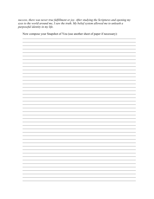success, there was never true fulfillment or joy. After studying the Scriptures and opening my eyes to the world around me, I saw the truth. My belief system allowed me to unleash a purposeful identity in my life.

Now compose your Snapshot of You (use another sheet of paper if necessary):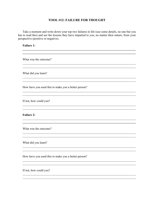# **TOOL #12: FAILURE FOR THOUGHT**

Take a moment and write down your top two failures in life (use some details, no one but you has to read this) and see the lessons they have imparted to you, no matter their nature, from your perspective (positive or negative).

<u> 1989 - Johann Stoff, amerikansk politiker (d. 1989)</u>

<u> 1989 - Johann Stoff, amerikansk politiker (d. 1989)</u>

**Failure 1:** 

What was the outcome?

What did you learn?

How have you used this to make you a better person?

If not, how could you?

**Failure 2:** 

What was the outcome?

What did you learn?

How have you used this to make you a better person?

If not, how could you?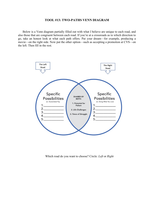#### **TOOL #13: TWO-PATHS VENN DIAGRAM**

Below is a Venn diagram partially filled out with what I believe are unique to each road, and also those that are congruent between each road. If you're at a crossroads as to which direction to go, take an honest look at what each path offers. Put your dream—for example, producing a movie—on the right side. Now put the other option—such as accepting a promotion at CVS—on the left. Then fill in the rest.



Which road do you want to choose? Circle: *Left* or *Right*